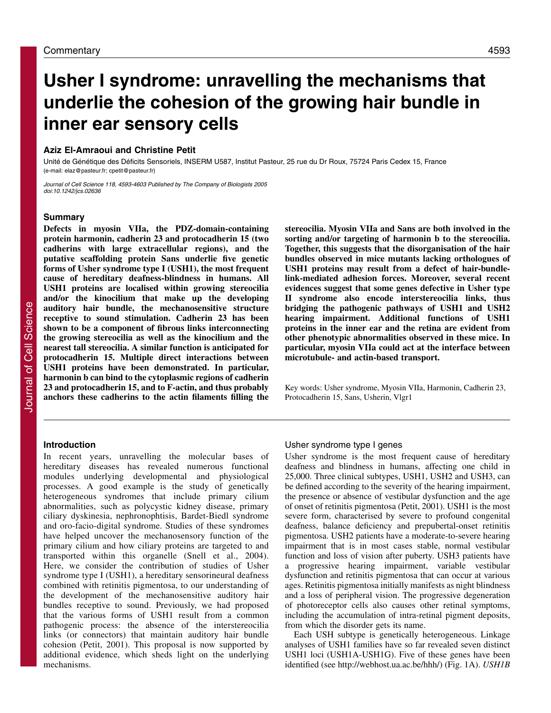# **Usher I syndrome: unravelling the mechanisms that underlie the cohesion of the growing hair bundle in inner ear sensory cells**

#### **Aziz El-Amraoui and Christine Petit**

Unité de Génétique des Déficits Sensoriels, INSERM U587, Institut Pasteur, 25 rue du Dr Roux, 75724 Paris Cedex 15, France (e-mail: elaz@pasteur.fr; cpetit@pasteur.fr)

Journal of Cell Science 118, 4593-4603 Published by The Company of Biologists 2005 doi:10.1242/jcs.02636

# **Summary**

**Defects in myosin VIIa, the PDZ-domain-containing protein harmonin, cadherin 23 and protocadherin 15 (two cadherins with large extracellular regions), and the putative scaffolding protein Sans underlie five genetic forms of Usher syndrome type I (USH1), the most frequent cause of hereditary deafness-blindness in humans. All USH1 proteins are localised within growing stereocilia and/or the kinocilium that make up the developing auditory hair bundle, the mechanosensitive structure receptive to sound stimulation. Cadherin 23 has been shown to be a component of fibrous links interconnecting the growing stereocilia as well as the kinocilium and the nearest tall stereocilia. A similar function is anticipated for protocadherin 15. Multiple direct interactions between USH1 proteins have been demonstrated. In particular, harmonin b can bind to the cytoplasmic regions of cadherin 23 and protocadherin 15, and to F-actin, and thus probably anchors these cadherins to the actin filaments filling the**

#### **Introduction**

In recent years, unravelling the molecular bases of hereditary diseases has revealed numerous functional modules underlying developmental and physiological processes. A good example is the study of genetically heterogeneous syndromes that include primary cilium abnormalities, such as polycystic kidney disease, primary ciliary dyskinesia, nephronophtisis, Bardet-Biedl syndrome and oro-facio-digital syndrome. Studies of these syndromes have helped uncover the mechanosensory function of the primary cilium and how ciliary proteins are targeted to and transported within this organelle (Snell et al., 2004). Here, we consider the contribution of studies of Usher syndrome type I (USH1), a hereditary sensorineural deafness combined with retinitis pigmentosa, to our understanding of the development of the mechanosensitive auditory hair bundles receptive to sound. Previously, we had proposed that the various forms of USH1 result from a common pathogenic process: the absence of the interstereocilia links (or connectors) that maintain auditory hair bundle cohesion (Petit, 2001). This proposal is now supported by additional evidence, which sheds light on the underlying mechanisms.

**stereocilia. Myosin VIIa and Sans are both involved in the sorting and/or targeting of harmonin b to the stereocilia. Together, this suggests that the disorganisation of the hair bundles observed in mice mutants lacking orthologues of USH1 proteins may result from a defect of hair-bundlelink-mediated adhesion forces. Moreover, several recent evidences suggest that some genes defective in Usher type II syndrome also encode interstereocilia links, thus bridging the pathogenic pathways of USH1 and USH2 hearing impairment. Additional functions of USH1 proteins in the inner ear and the retina are evident from other phenotypic abnormalities observed in these mice. In particular, myosin VIIa could act at the interface between microtubule- and actin-based transport.**

Key words: Usher syndrome, Myosin VIIa, Harmonin, Cadherin 23, Protocadherin 15, Sans, Usherin, Vlgr1

# Usher syndrome type I genes

Usher syndrome is the most frequent cause of hereditary deafness and blindness in humans, affecting one child in 25,000. Three clinical subtypes, USH1, USH2 and USH3, can be defined according to the severity of the hearing impairment, the presence or absence of vestibular dysfunction and the age of onset of retinitis pigmentosa (Petit, 2001). USH1 is the most severe form, characterised by severe to profound congenital deafness, balance deficiency and prepubertal-onset retinitis pigmentosa. USH2 patients have a moderate-to-severe hearing impairment that is in most cases stable, normal vestibular function and loss of vision after puberty. USH3 patients have a progressive hearing impairment, variable vestibular dysfunction and retinitis pigmentosa that can occur at various ages. Retinitis pigmentosa initially manifests as night blindness and a loss of peripheral vision. The progressive degeneration of photoreceptor cells also causes other retinal symptoms, including the accumulation of intra-retinal pigment deposits, from which the disorder gets its name.

Each USH subtype is genetically heterogeneous. Linkage analyses of USH1 families have so far revealed seven distinct USH1 loci (USH1A-USH1G). Five of these genes have been identified (see http://webhost.ua.ac.be/hhh/) (Fig. 1A). *USH1B*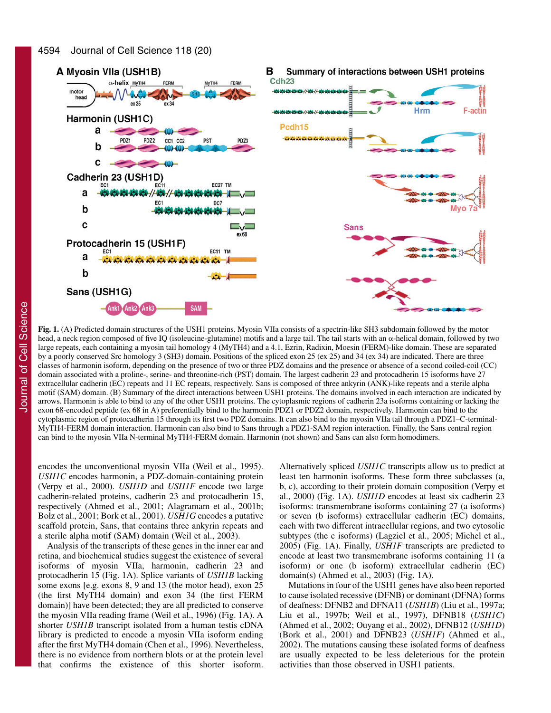

**Fig. 1.** (A) Predicted domain structures of the USH1 proteins. Myosin VIIa consists of a spectrin-like SH3 subdomain followed by the motor head, a neck region composed of five IQ (isoleucine-glutamine) motifs and a large tail. The tail starts with an  $\alpha$ -helical domain, followed by two large repeats, each containing a myosin tail homology 4 (MyTH4) and a 4.1, Ezrin, Radixin, Moesin (FERM)-like domain. These are separated by a poorly conserved Src homology 3 (SH3) domain. Positions of the spliced exon 25 (ex 25) and 34 (ex 34) are indicated. There are three classes of harmonin isoform, depending on the presence of two or three PDZ domains and the presence or absence of a second coiled-coil (CC) domain associated with a proline-, serine- and threonine-rich (PST) domain. The largest cadherin 23 and protocadherin 15 isoforms have 27 extracellular cadherin (EC) repeats and 11 EC repeats, respectively. Sans is composed of three ankyrin (ANK)-like repeats and a sterile alpha motif (SAM) domain. (B) Summary of the direct interactions between USH1 proteins. The domains involved in each interaction are indicated by arrows. Harmonin is able to bind to any of the other USH1 proteins. The cytoplasmic regions of cadherin 23a isoforms containing or lacking the exon 68-encoded peptide (ex 68 in A) preferentially bind to the harmonin PDZ1 or PDZ2 domain, respectively. Harmonin can bind to the cytoplasmic region of protocadherin 15 through its first two PDZ domains. It can also bind to the myosin VIIa tail through a PDZ1–C-terminal-MyTH4-FERM domain interaction. Harmonin can also bind to Sans through a PDZ1-SAM region interaction. Finally, the Sans central region can bind to the myosin VIIa N-terminal MyTH4-FERM domain. Harmonin (not shown) and Sans can also form homodimers.

encodes the unconventional myosin VIIa (Weil et al., 1995). *USH1C* encodes harmonin, a PDZ-domain-containing protein (Verpy et al., 2000). *USH1D* and *USH1F* encode two large cadherin-related proteins, cadherin 23 and protocadherin 15, respectively (Ahmed et al., 2001; Alagramam et al., 2001b; Bolz et al., 2001; Bork et al., 2001). *USH1G* encodes a putative scaffold protein, Sans, that contains three ankyrin repeats and a sterile alpha motif (SAM) domain (Weil et al., 2003).

Analysis of the transcripts of these genes in the inner ear and retina, and biochemical studies suggest the existence of several isoforms of myosin VIIa, harmonin, cadherin 23 and protocadherin 15 (Fig. 1A). Splice variants of *USH1B* lacking some exons [e.g. exons 8, 9 and 13 (the motor head), exon  $25$ (the first MyTH4 domain) and exon 34 (the first FERM domain)] have been detected; they are all predicted to conserve the myosin VIIa reading frame (Weil et al., 1996) (Fig. 1A). A shorter *USH1B* transcript isolated from a human testis cDNA library is predicted to encode a myosin VIIa isoform ending after the first MyTH4 domain (Chen et al., 1996). Nevertheless, there is no evidence from northern blots or at the protein level that confirms the existence of this shorter isoform.

Alternatively spliced *USH1C* transcripts allow us to predict at least ten harmonin isoforms. These form three subclasses (a, b, c), according to their protein domain composition (Verpy et al., 2000) (Fig. 1A). *USH1D* encodes at least six cadherin 23 isoforms: transmembrane isoforms containing 27 (a isoforms) or seven (b isoforms) extracellular cadherin (EC) domains, each with two different intracellular regions, and two cytosolic subtypes (the c isoforms) (Lagziel et al., 2005; Michel et al., 2005) (Fig. 1A). Finally, *USH1F* transcripts are predicted to encode at least two transmembrane isoforms containing 11 (a isoform) or one (b isoform) extracellular cadherin (EC) domain(s) (Ahmed et al., 2003) (Fig. 1A).

Mutations in four of the USH1 genes have also been reported to cause isolated recessive (DFNB) or dominant (DFNA) forms of deafness: DFNB2 and DFNA11 (*USH1B*) (Liu et al., 1997a; Liu et al., 1997b; Weil et al., 1997), DFNB18 (*USH1C*) (Ahmed et al., 2002; Ouyang et al., 2002), DFNB12 (*USH1D*) (Bork et al., 2001) and DFNB23 (*USH1F*) (Ahmed et al., 2002). The mutations causing these isolated forms of deafness are usually expected to be less deleterious for the protein activities than those observed in USH1 patients.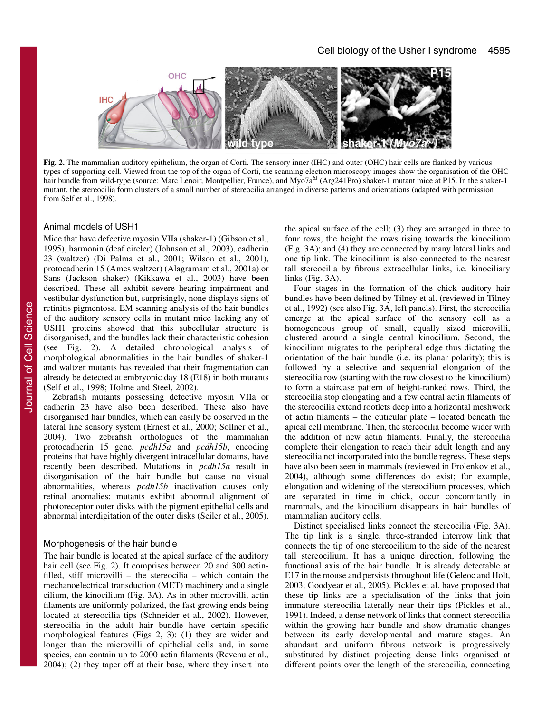

**Fig. 2.** The mammalian auditory epithelium, the organ of Corti. The sensory inner (IHC) and outer (OHC) hair cells are flanked by various types of supporting cell. Viewed from the top of the organ of Corti, the scanning electron microscopy images show the organisation of the OHC hair bundle from wild-type (source: Marc Lenoir, Montpellier, France), and Myo7a<sup>6J</sup> (Arg241Pro) shaker-1 mutant mice at P15. In the shaker-1 mutant, the stereocilia form clusters of a small number of stereocilia arranged in diverse patterns and orientations (adapted with permission from Self et al., 1998).

## Animal models of USH1

Mice that have defective myosin VIIa (shaker-1) (Gibson et al., 1995), harmonin (deaf circler) (Johnson et al., 2003), cadherin 23 (waltzer) (Di Palma et al., 2001; Wilson et al., 2001), protocadherin 15 (Ames waltzer) (Alagramam et al., 2001a) or Sans (Jackson shaker) (Kikkawa et al., 2003) have been described. These all exhibit severe hearing impairment and vestibular dysfunction but, surprisingly, none displays signs of retinitis pigmentosa. EM scanning analysis of the hair bundles of the auditory sensory cells in mutant mice lacking any of USH1 proteins showed that this subcellular structure is disorganised, and the bundles lack their characteristic cohesion (see Fig. 2). A detailed chronological analysis of morphological abnormalities in the hair bundles of shaker-1 and waltzer mutants has revealed that their fragmentation can already be detected at embryonic day 18 (E18) in both mutants (Self et al., 1998; Holme and Steel, 2002).

Zebrafish mutants possessing defective myosin VIIa or cadherin 23 have also been described. These also have disorganised hair bundles, which can easily be observed in the lateral line sensory system (Ernest et al., 2000; Sollner et al., 2004). Two zebrafish orthologues of the mammalian protocadherin 15 gene, *pcdh15a* and *pcdh15b*, encoding proteins that have highly divergent intracellular domains, have recently been described. Mutations in *pcdh15a* result in disorganisation of the hair bundle but cause no visual abnormalities, whereas *pcdh15b* inactivation causes only retinal anomalies: mutants exhibit abnormal alignment of photoreceptor outer disks with the pigment epithelial cells and abnormal interdigitation of the outer disks (Seiler et al., 2005).

#### Morphogenesis of the hair bundle

The hair bundle is located at the apical surface of the auditory hair cell (see Fig. 2). It comprises between 20 and 300 actinfilled, stiff microvilli – the stereocilia – which contain the mechanoelectrical transduction (MET) machinery and a single cilium, the kinocilium (Fig. 3A). As in other microvilli, actin filaments are uniformly polarized, the fast growing ends being located at stereocilia tips (Schneider et al., 2002). However, stereocilia in the adult hair bundle have certain specific morphological features (Figs 2, 3): (1) they are wider and longer than the microvilli of epithelial cells and, in some species, can contain up to 2000 actin filaments (Revenu et al., 2004); (2) they taper off at their base, where they insert into

the apical surface of the cell; (3) they are arranged in three to four rows, the height the rows rising towards the kinocilium (Fig. 3A); and (4) they are connected by many lateral links and one tip link. The kinocilium is also connected to the nearest tall stereocilia by fibrous extracellular links, i.e. kinociliary links (Fig. 3A).

Four stages in the formation of the chick auditory hair bundles have been defined by Tilney et al. (reviewed in Tilney et al., 1992) (see also Fig. 3A, left panels). First, the stereocilia emerge at the apical surface of the sensory cell as a homogeneous group of small, equally sized microvilli, clustered around a single central kinocilium. Second, the kinocilium migrates to the peripheral edge thus dictating the orientation of the hair bundle (i.e. its planar polarity); this is followed by a selective and sequential elongation of the stereocilia row (starting with the row closest to the kinocilium) to form a staircase pattern of height-ranked rows. Third, the stereocilia stop elongating and a few central actin filaments of the stereocilia extend rootlets deep into a horizontal meshwork of actin filaments – the cuticular plate – located beneath the apical cell membrane. Then, the stereocilia become wider with the addition of new actin filaments. Finally, the stereocilia complete their elongation to reach their adult length and any stereocilia not incorporated into the bundle regress. These steps have also been seen in mammals (reviewed in Frolenkov et al., 2004), although some differences do exist; for example, elongation and widening of the stereocilium processes, which are separated in time in chick, occur concomitantly in mammals, and the kinocilium disappears in hair bundles of mammalian auditory cells.

Distinct specialised links connect the stereocilia (Fig. 3A). The tip link is a single, three-stranded interrow link that connects the tip of one stereocilium to the side of the nearest tall stereocilium. It has a unique direction, following the functional axis of the hair bundle. It is already detectable at E17 in the mouse and persists throughout life (Geleoc and Holt, 2003; Goodyear et al., 2005). Pickles et al. have proposed that these tip links are a specialisation of the links that join immature stereocilia laterally near their tips (Pickles et al., 1991). Indeed, a dense network of links that connect stereocilia within the growing hair bundle and show dramatic changes between its early developmental and mature stages. An abundant and uniform fibrous network is progressively substituted by distinct projecting dense links organised at different points over the length of the stereocilia, connecting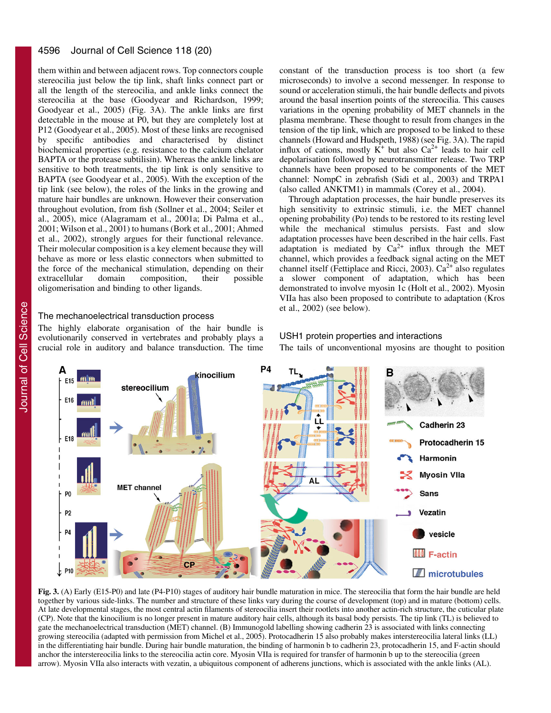#### 4596 Journal of Cell Science 118 (20)

them within and between adjacent rows. Top connectors couple stereocilia just below the tip link, shaft links connect part or all the length of the stereocilia, and ankle links connect the stereocilia at the base (Goodyear and Richardson, 1999; Goodyear et al., 2005) (Fig. 3A). The ankle links are first detectable in the mouse at P0, but they are completely lost at P12 (Goodyear et al., 2005). Most of these links are recognised by specific antibodies and characterised by distinct biochemical properties (e.g. resistance to the calcium chelator BAPTA or the protease subtilisin). Whereas the ankle links are sensitive to both treatments, the tip link is only sensitive to BAPTA (see Goodyear et al., 2005). With the exception of the tip link (see below), the roles of the links in the growing and mature hair bundles are unknown. However their conservation throughout evolution, from fish (Sollner et al., 2004; Seiler et al., 2005), mice (Alagramam et al., 2001a; Di Palma et al., 2001; Wilson et al., 2001) to humans (Bork et al., 2001; Ahmed et al., 2002), strongly argues for their functional relevance. Their molecular composition is a key element because they will behave as more or less elastic connectors when submitted to the force of the mechanical stimulation, depending on their<br>extracellular domain composition, their possible domain composition, their possible oligomerisation and binding to other ligands.

# The mechanoelectrical transduction process

The highly elaborate organisation of the hair bundle is evolutionarily conserved in vertebrates and probably plays a crucial role in auditory and balance transduction. The time

constant of the transduction process is too short (a few microseconds) to involve a second messenger. In response to sound or acceleration stimuli, the hair bundle deflects and pivots around the basal insertion points of the stereocilia. This causes variations in the opening probability of MET channels in the plasma membrane. These thought to result from changes in the tension of the tip link, which are proposed to be linked to these channels (Howard and Hudspeth, 1988) (see Fig. 3A). The rapid influx of cations, mostly  $K^+$  but also  $Ca^{2+}$  leads to hair cell depolarisation followed by neurotransmitter release. Two TRP channels have been proposed to be components of the MET channel: NompC in zebrafish (Sidi et al., 2003) and TRPA1 (also called ANKTM1) in mammals (Corey et al., 2004).

Through adaptation processes, the hair bundle preserves its high sensitivity to extrinsic stimuli, i.e. the MET channel opening probability (Po) tends to be restored to its resting level while the mechanical stimulus persists. Fast and slow adaptation processes have been described in the hair cells. Fast adaptation is mediated by  $Ca^{2+}$  influx through the MET channel, which provides a feedback signal acting on the MET channel itself (Fettiplace and Ricci, 2003).  $Ca^{2+}$  also regulates a slower component of adaptation, which has been demonstrated to involve myosin 1c (Holt et al., 2002). Myosin VIIa has also been proposed to contribute to adaptation (Kros et al., 2002) (see below).

The tails of unconventional myosins are thought to position

# USH1 protein properties and interactions

kinocilium F<sub>15</sub> stereocilium E16 Cadherin 23 F<sub>18</sub> Protocadherin 15 Harmonin Myosin VIIa **MET channel Sans** P<sub>0</sub> P<sub>2</sub> Vezatin vesicle **F-actin** CP P<sub>10</sub> **I** microtubules

**Fig. 3.** (A) Early (E15-P0) and late (P4-P10) stages of auditory hair bundle maturation in mice. The stereocilia that form the hair bundle are held together by various side-links. The number and structure of these links vary during the course of development (top) and in mature (bottom) cells. At late developmental stages, the most central actin filaments of stereocilia insert their rootlets into another actin-rich structure, the cuticular plate (CP). Note that the kinocilium is no longer present in mature auditory hair cells, although its basal body persists. The tip link (TL) is believed to gate the mechanoelectrical transduction (MET) channel. (B) Immunogold labelling showing cadherin 23 is associated with links connecting growing stereocilia (adapted with permission from Michel et al., 2005). Protocadherin 15 also probably makes interstereocilia lateral links (LL) in the differentiating hair bundle. During hair bundle maturation, the binding of harmonin b to cadherin 23, protocadherin 15, and F-actin should anchor the interstereocilia links to the stereocilia actin core. Myosin VIIa is required for transfer of harmonin b up to the stereocilia (green arrow). Myosin VIIa also interacts with vezatin, a ubiquitous component of adherens junctions, which is associated with the ankle links (AL).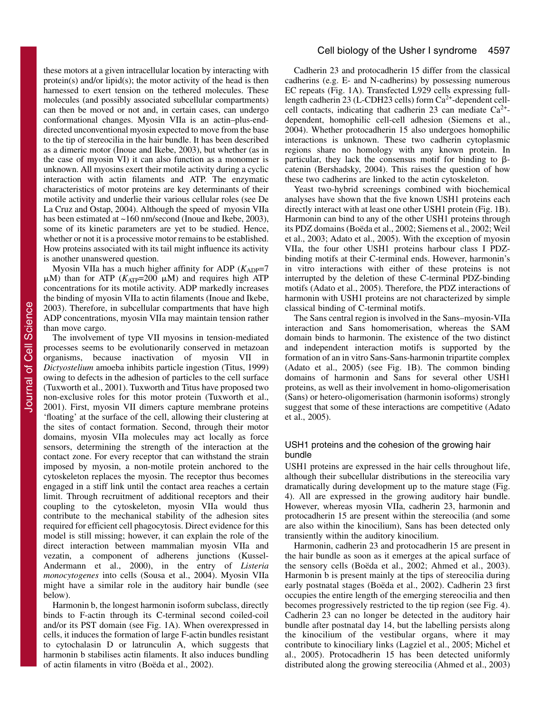these motors at a given intracellular location by interacting with protein(s) and/or lipid(s); the motor activity of the head is then harnessed to exert tension on the tethered molecules. These molecules (and possibly associated subcellular compartments) can then be moved or not and, in certain cases, can undergo conformational changes. Myosin VIIa is an actin–plus-enddirected unconventional myosin expected to move from the base to the tip of stereocilia in the hair bundle. It has been described as a dimeric motor (Inoue and Ikebe, 2003), but whether (as in the case of myosin VI) it can also function as a monomer is unknown. All myosins exert their motile activity during a cyclic interaction with actin filaments and ATP. The enzymatic characteristics of motor proteins are key determinants of their motile activity and underlie their various cellular roles (see De La Cruz and Ostap, 2004). Although the speed of myosin VIIa has been estimated at ~160 nm/second (Inoue and Ikebe, 2003), some of its kinetic parameters are yet to be studied. Hence, whether or not it is a processive motor remains to be established. How proteins associated with its tail might influence its activity is another unanswered question.

Myosin VIIa has a much higher affinity for ADP  $(K_{ADP}=7)$  $\mu$ M) than for ATP ( $K_{ATP}$ =200  $\mu$ M) and requires high ATP concentrations for its motile activity. ADP markedly increases the binding of myosin VIIa to actin filaments (Inoue and Ikebe, 2003). Therefore, in subcellular compartments that have high ADP concentrations, myosin VIIa may maintain tension rather than move cargo.

The involvement of type VII myosins in tension-mediated processes seems to be evolutionarily conserved in metazoan organisms, because inactivation of myosin VII in *Dictyostelium* amoeba inhibits particle ingestion (Titus, 1999) owing to defects in the adhesion of particles to the cell surface (Tuxworth et al., 2001). Tuxworth and Titus have proposed two non-exclusive roles for this motor protein (Tuxworth et al., 2001). First, myosin VII dimers capture membrane proteins 'floating' at the surface of the cell, allowing their clustering at the sites of contact formation. Second, through their motor domains, myosin VIIa molecules may act locally as force sensors, determining the strength of the interaction at the contact zone. For every receptor that can withstand the strain imposed by myosin, a non-motile protein anchored to the cytoskeleton replaces the myosin. The receptor thus becomes engaged in a stiff link until the contact area reaches a certain limit. Through recruitment of additional receptors and their coupling to the cytoskeleton, myosin VIIa would thus contribute to the mechanical stability of the adhesion sites required for efficient cell phagocytosis. Direct evidence for this model is still missing; however, it can explain the role of the direct interaction between mammalian myosin VIIa and vezatin, a component of adherens junctions (Kussel-Andermann et al., 2000), in the entry of *Listeria monocytogenes* into cells (Sousa et al., 2004). Myosin VIIa might have a similar role in the auditory hair bundle (see below).

Harmonin b, the longest harmonin isoform subclass, directly binds to F-actin through its C-terminal second coiled-coil and/or its PST domain (see Fig. 1A). When overexpressed in cells, it induces the formation of large F-actin bundles resistant to cytochalasin D or latrunculin A, which suggests that harmonin b stabilises actin filaments. It also induces bundling of actin filaments in vitro (Boëda et al., 2002).

Cadherin 23 and protocadherin 15 differ from the classical cadherins (e.g. E- and N-cadherins) by possessing numerous EC repeats (Fig. 1A). Transfected L929 cells expressing fulllength cadherin 23 (L-CDH23 cells) form  $Ca<sup>2+</sup>$ -dependent cellcell contacts, indicating that cadherin 23 can mediate  $Ca^{2+}$ dependent, homophilic cell-cell adhesion (Siemens et al., 2004). Whether protocadherin 15 also undergoes homophilic interactions is unknown. These two cadherin cytoplasmic regions share no homology with any known protein. In particular, they lack the consensus motif for binding to  $\beta$ catenin (Bershadsky, 2004). This raises the question of how these two cadherins are linked to the actin cytoskeleton.

Yeast two-hybrid screenings combined with biochemical analyses have shown that the five known USH1 proteins each directly interact with at least one other USH1 protein (Fig. 1B). Harmonin can bind to any of the other USH1 proteins through its PDZ domains (Boëda et al., 2002; Siemens et al., 2002; Weil et al., 2003; Adato et al., 2005). With the exception of myosin VIIa, the four other USH1 proteins harbour class I PDZbinding motifs at their C-terminal ends. However, harmonin's in vitro interactions with either of these proteins is not interrupted by the deletion of these C-terminal PDZ-binding motifs (Adato et al., 2005). Therefore, the PDZ interactions of harmonin with USH1 proteins are not characterized by simple classical binding of C-terminal motifs.

The Sans central region is involved in the Sans–myosin-VIIa interaction and Sans homomerisation, whereas the SAM domain binds to harmonin. The existence of the two distinct and independent interaction motifs is supported by the formation of an in vitro Sans-Sans-harmonin tripartite complex (Adato et al., 2005) (see Fig. 1B). The common binding domains of harmonin and Sans for several other USH1 proteins, as well as their involvement in homo-oligomerisation (Sans) or hetero-oligomerisation (harmonin isoforms) strongly suggest that some of these interactions are competitive (Adato et al., 2005).

# USH1 proteins and the cohesion of the growing hair bundle

USH1 proteins are expressed in the hair cells throughout life, although their subcellular distributions in the stereocilia vary dramatically during development up to the mature stage (Fig. 4). All are expressed in the growing auditory hair bundle. However, whereas myosin VIIa, cadherin 23, harmonin and protocadherin 15 are present within the stereocilia (and some are also within the kinocilium), Sans has been detected only transiently within the auditory kinocilium.

Harmonin, cadherin 23 and protocadherin 15 are present in the hair bundle as soon as it emerges at the apical surface of the sensory cells (Boëda et al., 2002; Ahmed et al., 2003). Harmonin b is present mainly at the tips of stereocilia during early postnatal stages (Boëda et al., 2002). Cadherin 23 first occupies the entire length of the emerging stereocilia and then becomes progressively restricted to the tip region (see Fig. 4). Cadherin 23 can no longer be detected in the auditory hair bundle after postnatal day 14, but the labelling persists along the kinocilium of the vestibular organs, where it may contribute to kinociliary links (Lagziel et al., 2005; Michel et al., 2005). Protocadherin 15 has been detected uniformly distributed along the growing stereocilia (Ahmed et al., 2003)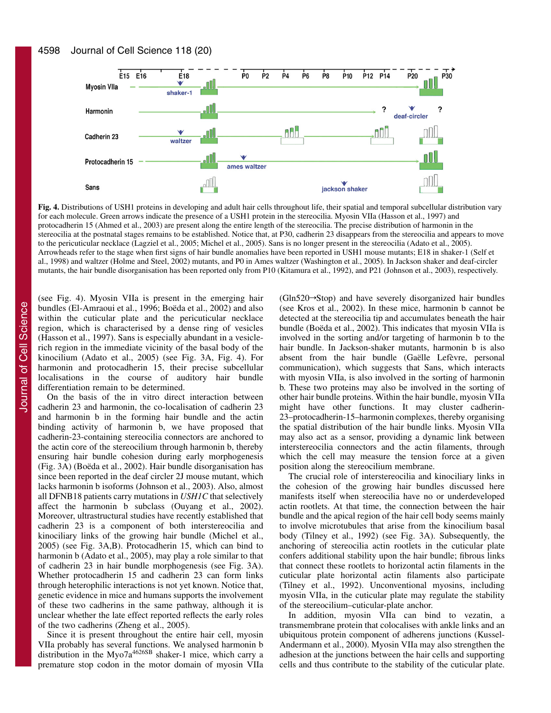

**Fig. 4.** Distributions of USH1 proteins in developing and adult hair cells throughout life, their spatial and temporal subcellular distribution vary for each molecule. Green arrows indicate the presence of a USH1 protein in the stereocilia. Myosin VIIa (Hasson et al., 1997) and protocadherin 15 (Ahmed et al., 2003) are present along the entire length of the stereocilia. The precise distribution of harmonin in the stereocilia at the postnatal stages remains to be established. Notice that, at P30, cadherin 23 disappears from the stereocilia and appears to move to the pericuticular necklace (Lagziel et al., 2005; Michel et al., 2005). Sans is no longer present in the stereocilia (Adato et al., 2005). Arrowheads refer to the stage when first signs of hair bundle anomalies have been reported in USH1 mouse mutants; E18 in shaker-1 (Self et al., 1998) and waltzer (Holme and Steel, 2002) mutants, and P0 in Ames waltzer (Washington et al., 2005). In Jackson shaker and deaf-circler mutants, the hair bundle disorganisation has been reported only from P10 (Kitamura et al., 1992), and P21 (Johnson et al., 2003), respectively.

(see Fig. 4). Myosin VIIa is present in the emerging hair bundles (El-Amraoui et al., 1996; Boëda et al., 2002) and also within the cuticular plate and the pericuticular necklace region, which is characterised by a dense ring of vesicles (Hasson et al., 1997). Sans is especially abundant in a vesiclerich region in the immediate vicinity of the basal body of the kinocilium (Adato et al., 2005) (see Fig. 3A, Fig. 4). For harmonin and protocadherin 15, their precise subcellular localisations in the course of auditory hair bundle differentiation remain to be determined.

On the basis of the in vitro direct interaction between cadherin 23 and harmonin, the co-localisation of cadherin 23 and harmonin b in the forming hair bundle and the actin binding activity of harmonin b, we have proposed that cadherin-23-containing stereocilia connectors are anchored to the actin core of the stereocilium through harmonin b, thereby ensuring hair bundle cohesion during early morphogenesis (Fig. 3A) (Boëda et al., 2002). Hair bundle disorganisation has since been reported in the deaf circler 2J mouse mutant, which lacks harmonin b isoforms (Johnson et al., 2003). Also, almost all DFNB18 patients carry mutations in *USH1C* that selectively affect the harmonin b subclass (Ouyang et al., 2002). Moreover, ultrastructural studies have recently established that cadherin 23 is a component of both interstereocilia and kinociliary links of the growing hair bundle (Michel et al., 2005) (see Fig. 3A,B). Protocadherin 15, which can bind to harmonin b (Adato et al., 2005), may play a role similar to that of cadherin 23 in hair bundle morphogenesis (see Fig. 3A). Whether protocadherin 15 and cadherin 23 can form links through heterophilic interactions is not yet known. Notice that, genetic evidence in mice and humans supports the involvement of these two cadherins in the same pathway, although it is unclear whether the late effect reported reflects the early roles of the two cadherins (Zheng et al., 2005).

Since it is present throughout the entire hair cell, myosin VIIa probably has several functions. We analysed harmonin b distribution in the Myo7a<sup>4626SB</sup> shaker-1 mice, which carry a premature stop codon in the motor domain of myosin VIIa

 $(GIn520 \rightarrow Stop)$  and have severely disorganized hair bundles (see Kros et al., 2002). In these mice, harmonin b cannot be detected at the stereocilia tip and accumulates beneath the hair bundle (Boëda et al., 2002). This indicates that myosin VIIa is involved in the sorting and/or targeting of harmonin b to the hair bundle. In Jackson-shaker mutants, harmonin b is also absent from the hair bundle (Gaëlle Lefèvre, personal communication), which suggests that Sans, which interacts with myosin VIIa, is also involved in the sorting of harmonin b. These two proteins may also be involved in the sorting of other hair bundle proteins. Within the hair bundle, myosin VIIa might have other functions. It may cluster cadherin-23–protocadherin-15–harmonin complexes, thereby organising the spatial distribution of the hair bundle links. Myosin VIIa may also act as a sensor, providing a dynamic link between interstereocilia connectors and the actin filaments, through which the cell may measure the tension force at a given position along the stereocilium membrane.

The crucial role of interstereocilia and kinociliary links in the cohesion of the growing hair bundles discussed here manifests itself when stereocilia have no or underdeveloped actin rootlets. At that time, the connection between the hair bundle and the apical region of the hair cell body seems mainly to involve microtubules that arise from the kinocilium basal body (Tilney et al., 1992) (see Fig. 3A). Subsequently, the anchoring of stereocilia actin rootlets in the cuticular plate confers additional stability upon the hair bundle; fibrous links that connect these rootlets to horizontal actin filaments in the cuticular plate horizontal actin filaments also participate (Tilney et al., 1992). Unconventional myosins, including myosin VIIa, in the cuticular plate may regulate the stability of the stereocilium–cuticular-plate anchor.

In addition, myosin VIIa can bind to vezatin, a transmembrane protein that colocalises with ankle links and an ubiquitous protein component of adherens junctions (Kussel-Andermann et al., 2000). Myosin VIIa may also strengthen the adhesion at the junctions between the hair cells and supporting cells and thus contribute to the stability of the cuticular plate.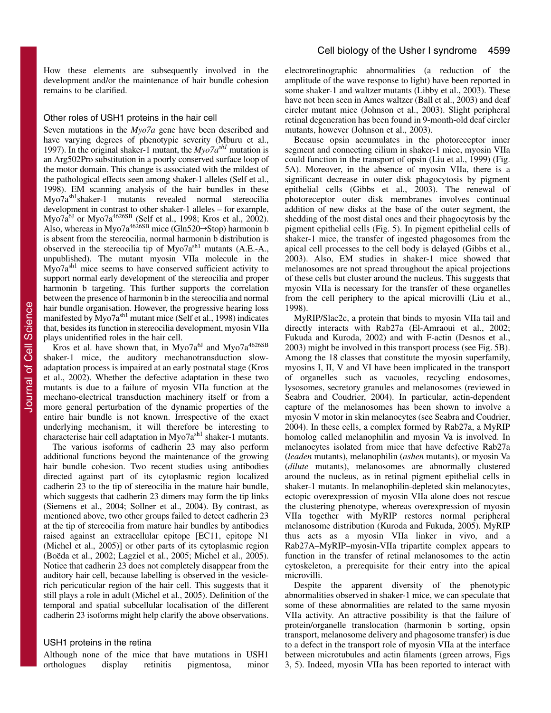How these elements are subsequently involved in the development and/or the maintenance of hair bundle cohesion remains to be clarified.

#### Other roles of USH1 proteins in the hair cell

Seven mutations in the *Myo7a* gene have been described and have varying degrees of phenotypic severity (Mburu et al., 1997). In the original shaker-1 mutant, the *Myo7ash1* mutation is an Arg502Pro substitution in a poorly conserved surface loop of the motor domain. This change is associated with the mildest of the pathological effects seen among shaker-1 alleles (Self et al., 1998). EM scanning analysis of the hair bundles in these Myo7ash1shaker-1 mutants revealed normal stereocilia development in contrast to other shaker-1 alleles – for example, Myo7 $\tilde{a}^{6J}$  or Myo7 $a^{4626SB}$  (Self et al., 1998; Kros et al., 2002). Also, whereas in Myo7a<sup>4626SB</sup> mice (Gln520 $\rightarrow$ Stop) harmonin b is absent from the stereocilia, normal harmonin b distribution is observed in the stereocilia tip of Myo7a<sup>sh1</sup> mutants (A.E.-A., unpublished). The mutant myosin VIIa molecule in the Myo7a<sup>sh1</sup> mice seems to have conserved sufficient activity to support normal early development of the stereocilia and proper harmonin b targeting. This further supports the correlation between the presence of harmonin b in the stereocilia and normal hair bundle organisation. However, the progressive hearing loss manifested by  $Myo7a<sup>sh1</sup>$  mutant mice (Self et al., 1998) indicates that, besides its function in stereocilia development, myosin VIIa plays unidentified roles in the hair cell.

Kros et al. have shown that, in Myo7a $^{6J}$  and Myo7a $^{4626SB}$ shaker-1 mice, the auditory mechanotransduction slowadaptation process is impaired at an early postnatal stage (Kros et al., 2002). Whether the defective adaptation in these two mutants is due to a failure of myosin VIIa function at the mechano-electrical transduction machinery itself or from a more general perturbation of the dynamic properties of the entire hair bundle is not known. Irrespective of the exact underlying mechanism, it will therefore be interesting to characterise hair cell adaptation in Myo7a<sup>sh1</sup> shaker-1 mutants.

The various isoforms of cadherin 23 may also perform additional functions beyond the maintenance of the growing hair bundle cohesion. Two recent studies using antibodies directed against part of its cytoplasmic region localized cadherin 23 to the tip of stereocilia in the mature hair bundle, which suggests that cadherin 23 dimers may form the tip links (Siemens et al., 2004; Sollner et al., 2004). By contrast, as mentioned above, two other groups failed to detect cadherin 23 at the tip of stereocilia from mature hair bundles by antibodies raised against an extracellular epitope [EC11, epitope N1 (Michel et al., 2005)] or other parts of its cytoplasmic region (Boëda et al., 2002; Lagziel et al., 2005; Michel et al., 2005). Notice that cadherin 23 does not completely disappear from the auditory hair cell, because labelling is observed in the vesiclerich pericuticular region of the hair cell. This suggests that it still plays a role in adult (Michel et al., 2005). Definition of the temporal and spatial subcellular localisation of the different cadherin 23 isoforms might help clarify the above observations.

## USH1 proteins in the retina

Although none of the mice that have mutations in USH1 orthologues display retinitis pigmentosa, minor electroretinographic abnormalities (a reduction of the amplitude of the wave response to light) have been reported in some shaker-1 and waltzer mutants (Libby et al., 2003). These have not been seen in Ames waltzer (Ball et al., 2003) and deaf circler mutant mice (Johnson et al., 2003). Slight peripheral retinal degeneration has been found in 9-month-old deaf circler mutants, however (Johnson et al., 2003).

Because opsin accumulates in the photoreceptor inner segment and connecting cilium in shaker-1 mice, myosin VIIa could function in the transport of opsin (Liu et al., 1999) (Fig. 5A). Moreover, in the absence of myosin VIIa, there is a significant decrease in outer disk phagocytosis by pigment epithelial cells (Gibbs et al., 2003). The renewal of photoreceptor outer disk membranes involves continual addition of new disks at the base of the outer segment, the shedding of the most distal ones and their phagocytosis by the pigment epithelial cells (Fig. 5). In pigment epithelial cells of shaker-1 mice, the transfer of ingested phagosomes from the apical cell processes to the cell body is delayed (Gibbs et al., 2003). Also, EM studies in shaker-1 mice showed that melanosomes are not spread throughout the apical projections of these cells but cluster around the nucleus. This suggests that myosin VIIa is necessary for the transfer of these organelles from the cell periphery to the apical microvilli (Liu et al., 1998).

MyRIP/Slac2c, a protein that binds to myosin VIIa tail and directly interacts with Rab27a (El-Amraoui et al., 2002; Fukuda and Kuroda, 2002) and with F-actin (Desnos et al., 2003) might be involved in this transport process (see Fig. 5B). Among the 18 classes that constitute the myosin superfamily, myosins I, II, V and VI have been implicated in the transport of organelles such as vacuoles, recycling endosomes, lysosomes, secretory granules and melanosomes (reviewed in Seabra and Coudrier, 2004). In particular, actin-dependent capture of the melanosomes has been shown to involve a myosin V motor in skin melanocytes (see Seabra and Coudrier, 2004). In these cells, a complex formed by Rab27a, a MyRIP homolog called melanophilin and myosin Va is involved. In melanocytes isolated from mice that have defective Rab27a (*leaden* mutants), melanophilin (*ashen* mutants), or myosin Va (*dilute* mutants), melanosomes are abnormally clustered around the nucleus, as in retinal pigment epithelial cells in shaker-1 mutants. In melanophilin-depleted skin melanocytes, ectopic overexpression of myosin VIIa alone does not rescue the clustering phenotype, whereas overexpression of myosin VIIa together with MyRIP restores normal peripheral melanosome distribution (Kuroda and Fukuda, 2005). MyRIP thus acts as a myosin VIIa linker in vivo, and a Rab27A–MyRIP–myosin-VIIa tripartite complex appears to function in the transfer of retinal melanosomes to the actin cytoskeleton, a prerequisite for their entry into the apical microvilli.

Despite the apparent diversity of the phenotypic abnormalities observed in shaker-1 mice, we can speculate that some of these abnormalities are related to the same myosin VIIa activity. An attractive possibility is that the failure of protein/organelle translocation (harmonin b sorting, opsin transport, melanosome delivery and phagosome transfer) is due to a defect in the transport role of myosin VIIa at the interface between microtubules and actin filaments (green arrows, Figs 3, 5). Indeed, myosin VIIa has been reported to interact with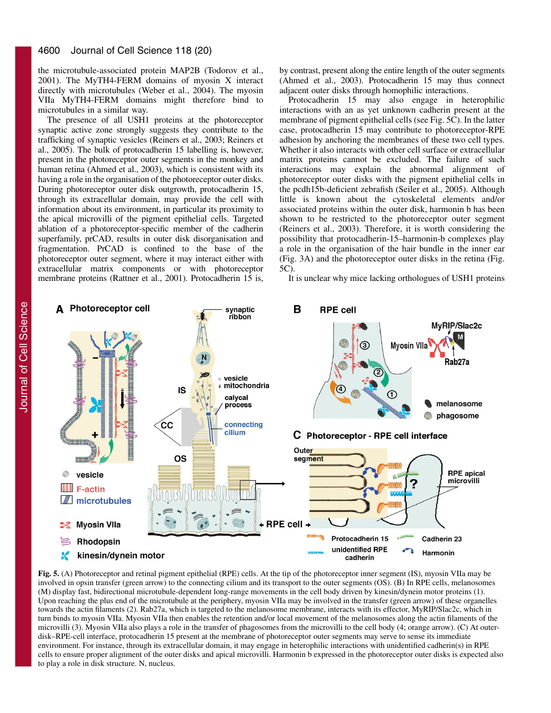#### 4600 Journal of Cell Science 118 (20)

the microtubule-associated protein MAP2B (Todorov et al., 2001). The MyTH4-FERM domains of myosin X interact directly with microtubules (Weber et al., 2004). The myosin VIIa MyTH4-FERM domains might therefore bind to microtubules in a similar way.

The presence of all USH1 proteins at the photoreceptor synaptic active zone strongly suggests they contribute to the trafficking of synaptic vesicles (Reiners et al., 2003; Reiners et al., 2005). The bulk of protocadherin 15 labelling is, however, present in the photoreceptor outer segments in the monkey and human retina (Ahmed et al., 2003), which is consistent with its having a role in the organisation of the photoreceptor outer disks. During photoreceptor outer disk outgrowth, protocadherin 15, through its extracellular domain, may provide the cell with information about its environment, in particular its proximity to the apical microvilli of the pigment epithelial cells. Targeted ablation of a photoreceptor-specific member of the cadherin superfamily, prCAD, results in outer disk disorganisation and fragmentation. PrCAD is confined to the base of the photoreceptor outer segment, where it may interact either with extracellular matrix components or with photoreceptor membrane proteins (Rattner et al., 2001). Protocadherin 15 is,

by contrast, present along the entire length of the outer segments (Ahmed et al., 2003). Protocadherin 15 may thus connect adjacent outer disks through homophilic interactions.

Protocadherin 15 may also engage in heterophilic interactions with an as yet unknown cadherin present at the membrane of pigment epithelial cells (see Fig. 5C). In the latter case, protocadherin 15 may contribute to photoreceptor-RPE adhesion by anchoring the membranes of these two cell types. Whether it also interacts with other cell surface or extracellular matrix proteins cannot be excluded. The failure of such interactions may explain the abnormal alignment of photoreceptor outer disks with the pigment epithelial cells in the pcdh15b-deficient zebrafish (Seiler et al., 2005). Although little is known about the cytoskeletal elements and/or associated proteins within the outer disk, harmonin b has been shown to be restricted to the photoreceptor outer segment (Reiners et al., 2003). Therefore, it is worth considering the possibility that protocadherin-15–harmonin-b complexes play a role in the organisation of the hair bundle in the inner ear (Fig. 3A) and the photoreceptor outer disks in the retina (Fig. 5C).

It is unclear why mice lacking orthologues of USH1 proteins



**Fig. 5.** (A) Photoreceptor and retinal pigment epithelial (RPE) cells. At the tip of the photoreceptor inner segment (IS), myosin VIIa may be involved in opsin transfer (green arrow) to the connecting cilium and its transport to the outer segments (OS). (B) In RPE cells, melanosomes (M) display fast, bidirectional microtubule-dependent long-range movements in the cell body driven by kinesin/dynein motor proteins (1). Upon reaching the plus end of the microtubule at the periphery, myosin VIIa may be involved in the transfer (green arrow) of these organelles towards the actin filaments (2). Rab27a, which is targeted to the melanosome membrane, interacts with its effector, MyRIP/Slac2c, which in turn binds to myosin VIIa. Myosin VIIa then enables the retention and/or local movement of the melanosomes along the actin filaments of the microvilli (3). Myosin VIIa also plays a role in the transfer of phagosomes from the microvilli to the cell body (4; orange arrow). (C) At outerdisk–RPE-cell interface, protocadherin 15 present at the membrane of photoreceptor outer segments may serve to sense its immediate environment. For instance, through its extracellular domain, it may engage in heterophilic interactions with unidentified cadherin(s) in RPE cells to ensure proper alignment of the outer disks and apical microvilli. Harmonin b expressed in the photoreceptor outer disks is expected also to play a role in disk structure. N, nucleus.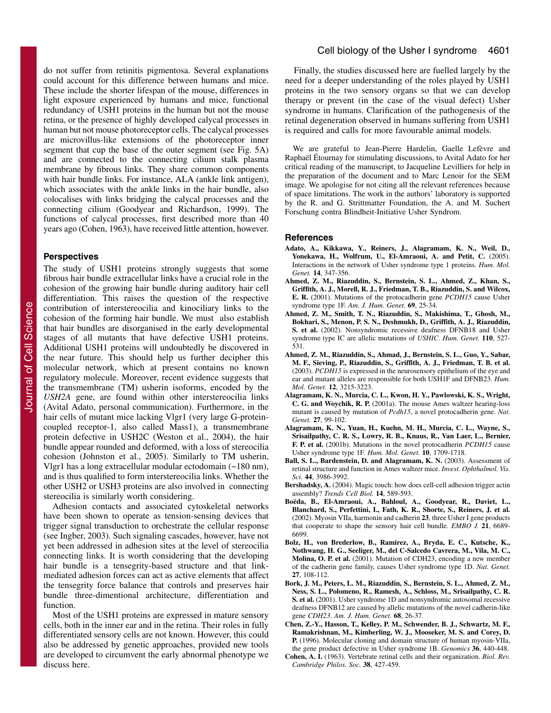do not suffer from retinitis pigmentosa. Several explanations could account for this difference between humans and mice. These include the shorter lifespan of the mouse, differences in light exposure experienced by humans and mice, functional redundancy of USH1 proteins in the human but not the mouse retina, or the presence of highly developed calycal processes in human but not mouse photoreceptor cells. The calycal processes are microvillus-like extensions of the photoreceptor inner segment that cup the base of the outer segment (see Fig. 5A) and are connected to the connecting cilium stalk plasma membrane by fibrous links. They share common components with hair bundle links. For instance, ALA (ankle link antigen), which associates with the ankle links in the hair bundle, also colocalises with links bridging the calycal processes and the connecting cilium (Goodyear and Richardson, 1999). The functions of calycal processes, first described more than 40 years ago (Cohen, 1963), have received little attention, however.

## **Perspectives**

The study of USH1 proteins strongly suggests that some fibrous hair bundle extracellular links have a crucial role in the cohesion of the growing hair bundle during auditory hair cell differentiation. This raises the question of the respective contribution of interstereocilia and kinociliary links to the cohesion of the forming hair bundle. We must also establish that hair bundles are disorganised in the early developmental stages of all mutants that have defective USH1 proteins. Additional USH1 proteins will undoubtedly be discovered in the near future. This should help us further decipher this molecular network, which at present contains no known regulatory molecule. Moreover, recent evidence suggests that the transmembrane (TM) usherin isoforms, encoded by the *USH2A* gene, are found within other interstereocilia links (Avital Adato, personal communication). Furthermore, in the hair cells of mutant mice lacking Vlgr1 (very large G-proteincoupled receptor-1, also called Mass1), a transmembrane protein defective in USH2C (Weston et al., 2004), the hair bundle appear rounded and deformed, with a loss of stereocilia cohesion (Johnston et al., 2005). Similarly to TM usherin, Vlgr1 has a long extracellular modular ectodomain (~180 nm), and is thus qualified to form interstereocilia links. Whether the other USH2 or USH3 proteins are also involved in connecting stereocilia is similarly worth considering.

Adhesion contacts and associated cytoskeletal networks have been shown to operate as tension-sensing devices that trigger signal transduction to orchestrate the cellular response (see Ingber, 2003). Such signaling cascades, however, have not yet been addressed in adhesion sites at the level of stereocilia connecting links. It is worth considering that the developing hair bundle is a tensegrity-based structure and that linkmediated adhesion forces can act as active elements that affect the tensegrity force balance that controls and preserves hair bundle three-dimentional architecture, differentiation and function.

Most of the USH1 proteins are expressed in mature sensory cells, both in the inner ear and in the retina. Their roles in fully differentiated sensory cells are not known. However, this could also be addressed by genetic approaches, provided new tools are developed to circumvent the early abnormal phenotype we discuss here.

# Cell biology of the Usher I syndrome 4601

Finally, the studies discussed here are fuelled largely by the need for a deeper understanding of the roles played by USH1 proteins in the two sensory organs so that we can develop therapy or prevent (in the case of the visual defect) Usher syndrome in humans. Clarification of the pathogenesis of the retinal degeneration observed in humans suffering from USH1 is required and calls for more favourable animal models.

We are grateful to Jean-Pierre Hardelin, Gaelle Lefèvre and Raphaël Étournay for stimulating discussions, to Avital Adato for her critical reading of the manuscript, to Jacqueline Levilliers for help in the preparation of the document and to Marc Lenoir for the SEM image. We apologise for not citing all the relevant references because of space limitations. The work in the authors' laboratory is supported by the R. and G. Strittmatter Foundation, the A. and M. Suchert Forschung contra Blindheit-Initiative Usher Syndrom.

#### **References**

- **Adato, A., Kikkawa, Y., Reiners, J., Alagramam, K. N., Weil, D., Yonekawa, H., Wolfrum, U., El-Amraoui, A. and Petit, C.** (2005). Interactions in the network of Usher syndrome type 1 proteins. *Hum. Mol. Genet.* **14**, 347-356.
- **Ahmed, Z. M., Riazuddin, S., Bernstein, S. L., Ahmed, Z., Khan, S., Griffith, A. J., Morell, R. J., Friedman, T. B., Riazuddin, S. and Wilcox, E. R.** (2001). Mutations of the protocadherin gene *PCDH15* cause Usher syndrome type 1F. *Am. J. Hum. Genet.* **69**, 25-34.
- **Ahmed, Z. M., Smith, T. N., Riazuddin, S., Makishima, T., Ghosh, M., Bokhari, S., Menon, P. S. N., Deshmukh, D., Griffith, A. J., Riazuddin, S. et al.** (2002). Nonsyndromic recessive deafness DFNB18 and Usher syndrome type IC are allelic mutations of *USHIC*. *Hum. Genet.* **110**, 527- 531.
- **Ahmed, Z. M., Riazuddin, S., Ahmad, J., Bernstein, S. L., Guo, Y., Sabar, M. F., Sieving, P., Riazuddin, S., Griffith, A. J., Friedman, T. B. et al.** (2003). *PCDH15* is expressed in the neurosensory epithelium of the eye and ear and mutant alleles are responsible for both USH1F and DFNB23. *Hum. Mol. Genet.* **12**, 3215-3223.
- **Alagramam, K. N., Murcia, C. L., Kwon, H. Y., Pawlowski, K. S., Wright, C. G. and Woychik, R. P.** (2001a). The mouse Ames waltzer hearing-loss mutant is caused by mutation of *Pcdh15*, a novel protocadherin gene. *Nat. Genet.* **27**, 99-102.
- **Alagramam, K. N., Yuan, H., Kuehn, M. H., Murcia, C. L., Wayne, S., Srisailpathy, C. R. S., Lowry, R. B., Knaus, R., Van Laer, L., Bernier, F. P. et al.** (2001b). Mutations in the novel protocadherin *PCDH15* cause Usher syndrome type 1F. *Hum. Mol. Genet.* **10**, 1709-1718.
- **Ball, S. L., Bardenstein, D. and Alagramam, K. N.** (2003). Assessment of retinal structure and function in Ames waltzer mice. *Invest. Ophthalmol. Vis. Sci.* **44**, 3986-3992.
- **Bershadsky, A.** (2004). Magic touch: how does cell-cell adhesion trigger actin assembly? *Trends Cell Biol.* **14**, 589-593.
- **Boëda, B., El-Amraoui, A., Bahloul, A., Goodyear, R., Daviet, L., Blanchard, S., Perfettini, I., Fath, K. R., Shorte, S., Reiners, J. et al.** (2002). Myosin VIIa, harmonin and cadherin **23**, three Usher I gene products that cooperate to shape the sensory hair cell bundle. *EMBO J.* **21**, 6689- 6699.
- **Bolz, H., von Brederlow, B., Ramirez, A., Bryda, E. C., Kutsche, K., Nothwang, H. G., Seeliger, M., del C-Salcedo Cavrera, M., Vila, M. C., Molina, O. P. et al.** (2001). Mutation of CDH23, encoding a new member of the cadherin gene family, causes Usher syndrome type 1D. *Nat. Genet.* **27**, 108-112.
- **Bork, J. M., Peters, L. M., Riazuddin, S., Bernstein, S. L., Ahmed, Z. M., Ness, S. L., Polomeno, R., Ramesh, A., Schloss, M., Srisailpathy, C. R. S. et al.** (2001). Usher syndrome 1D and nonsyndromic autosomal recessive deafness DFNB12 are caused by allelic mutations of the novel cadherin-like gene *CDH23*. *Am. J. Hum. Genet.* **68**, 26-37.
- **Chen, Z.-Y., Hasson, T., Kelley, P. M., Schwender, B. J., Schwartz, M. F., Ramakrishnan, M., Kimberling, W. J., Mooseker, M. S. and Corey, D. P.** (1996). Molecular cloning and domain structure of human myosin-VIIa, the gene product defective in Usher syndrome 1B. *Genomics* **36**, 440-448.
- **Cohen, A. I.** (1963). Vertebrate retinal cells and their organization. *Biol. Rev. Cambridge Philos. Soc.* **38**, 427-459.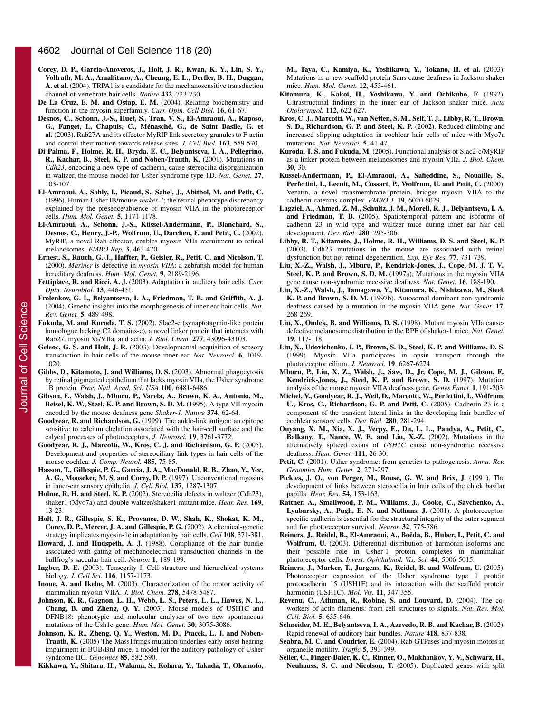- **Corey, D. P., Garcia-Anoveros, J., Holt, J. R., Kwan, K. Y., Lin, S. Y., Vollrath, M. A., Amalfitano, A., Cheung, E. L., Derfler, B. H., Duggan, A. et al.** (2004). TRPA1 is a candidate for the mechanosensitive transduction channel of vertebrate hair cells. *Nature* **432**, 723-730.
- **De La Cruz, E. M. and Ostap, E. M.** (2004). Relating biochemistry and function in the myosin superfamily. *Curr. Opin. Cell Biol.* **16**, 61-67.
- **Desnos, C., Schonn, J.-S., Huet, S., Tran, V. S., El-Amraoui, A., Raposo, G., Fanget, I., Chapuis, C., Ménasché, G., de Saint Basile, G. et al.** (2003). Rab27A and its effector MyRIP link secretory granules to F-actin and control their motion towards release sites. *J. Cell Biol.* **163**, 559-570.
- **Di Palma, F., Holme, R. H., Bryda, E. C., Belyantseva, I. A., Pellegrino, R., Kachar, B., Steel, K. P. and Noben-Trauth, K.** (2001). Mutations in *Cdh23*, encoding a new type of cadherin, cause stereocilia disorganization in waltzer, the mouse model for Usher syndrome type 1D. *Nat. Genet.* **27**, 103-107.
- **El-Amraoui, A., Sahly, I., Picaud, S., Sahel, J., Abitbol, M. and Petit, C.** (1996). Human Usher IB/mouse *shaker-1*; the retinal phenotype discrepancy explained by the presence/absence of myosin VIIA in the photoreceptor cells. *Hum. Mol. Genet.* **5**, 1171-1178.
- **El-Amraoui, A., Schonn, J.-S., Küssel-Andermann, P., Blanchard, S., Desnos, C., Henry, J.-P., Wolfrum, U., Darchen, F. and Petit, C.** (2002). MyRIP, a novel Rab effector, enables myosin VIIa recruitment to retinal melanosomes. *EMBO Rep.* **3**, 463-470.
- **Ernest, S., Rauch, G.-J., Haffter, P., Geisler, R., Petit, C. and Nicolson, T.** (2000). *Mariner* is defective in *myosin VIIA*: a zebrafish model for human hereditary deafness. *Hum. Mol. Genet.* **9**, 2189-2196.
- **Fettiplace, R. and Ricci, A. J.** (2003). Adaptation in auditory hair cells. *Curr. Opin. Neurobiol.* **13**, 446-451.
- **Frolenkov, G. I., Belyantseva, I. A., Friedman, T. B. and Griffith, A. J.** (2004). Genetic insights into the morphogenesis of inner ear hair cells. *Nat. Rev. Genet.* **5**, 489-498.
- **Fukuda, M. and Kuroda, T. S.** (2002). Slac2-c (synaptotagmin-like protein homologue lacking C2 domains-c), a novel linker protein that interacts with Rab27, myosin Va/VIIa, and actin. *J. Biol. Chem.* **277**, 43096-43103.
- **Geleoc, G. S. and Holt, J. R.** (2003). Developmental acquisition of sensory transduction in hair cells of the mouse inner ear. *Nat. Neurosci.* **6**, 1019- 1020.
- **Gibbs, D., Kitamoto, J. and Williams, D. S.** (2003). Abnormal phagocytosis by retinal pigmented epithelium that lacks myosin VIIa, the Usher syndrome 1B protein. *Proc. Natl. Acad. Sci. USA* **100**, 6481-6486.
- **Gibson, F., Walsh, J., Mburu, P., Varela, A., Brown, K. A., Antonio, M., Beisel, K. W., Steel, K. P. and Brown, S. D. M.** (1995). A type VII myosin encoded by the mouse deafness gene *Shaker-1*. *Nature* **374**, 62-64.
- **Goodyear, R. and Richardson, G.** (1999). The ankle-link antigen: an epitope sensitive to calcium chelation associated with the hair-cell surface and the calycal processes of photoreceptors. *J. Neurosci.* **19**, 3761-3772.
- **Goodyear, R. J., Marcotti, W., Kros, C. J. and Richardson, G. P.** (2005). Development and properties of stereociliary link types in hair cells of the mouse cochlea. *J. Comp. Neurol.* **485**, 75-85.
- **Hasson, T., Gillespie, P. G., Garcia, J. A., MacDonald, R. B., Zhao, Y., Yee, A. G., Mooseker, M. S. and Corey, D. P.** (1997). Unconventional myosins in inner-ear sensory epithelia. *J. Cell Biol.* **137**, 1287-1307.
- **Holme, R. H. and Steel, K. P.** (2002). Stereocilia defects in waltzer (Cdh23), shaker1 (Myo7a) and double waltzer/shaker1 mutant mice. *Hear. Res.* **169**, 13-23.
- **Holt, J. R., Gillespie, S. K., Provance, D. W., Shah, K., Shokat, K. M., Corey, D. P., Mercer, J. A. and Gillespie, P. G.** (2002). A chemical-genetic strategy implicates myosin-1c in adaptation by hair cells. *Cell* **108**, 371-381.
- **Howard, J. and Hudspeth, A. J.** (1988). Compliance of the hair bundle associated with gating of mechanoelectrical transduction channels in the bullfrog's saccular hair cell. *Neuron* **1**, 189-199.
- **Ingber, D. E.** (2003). Tensegrity I. Cell structure and hierarchical systems biology. *J. Cell Sci.* **116**, 1157-1173.
- **Inoue, A. and Ikebe, M.** (2003). Characterization of the motor activity of mammalian myosin VIIA. *J. Biol. Chem.* **278**, 5478-5487.
- **Johnson, K. R., Gagnon, L. H., Webb, L. S., Peters, L. L., Hawes, N. L., Chang, B. and Zheng, Q. Y.** (2003). Mouse models of USH1C and DFNB18: phenotypic and molecular analyses of two new spontaneous mutations of the Ush1c gene. *Hum. Mol. Genet.* **30**, 3075-3086.
- **Johnson, K. R., Zheng, Q. Y., Weston, M. D., Ptacek, L. J. and Noben-Trauth, K.** (2005) The Mass1frings mutation underlies early onset hearing impairment in BUB/BnJ mice, a model for the auditory pathology of Usher syndrome IIC. *Genomics* **85**, 582-590.

**Kikkawa, Y., Shitara, H., Wakana, S., Kohara, Y., Takada, T., Okamoto,**

**M., Taya, C., Kamiya, K., Yoshikawa, Y., Tokano, H. et al.** (2003). Mutations in a new scaffold protein Sans cause deafness in Jackson shaker mice. *Hum. Mol. Genet.* **12**, 453-461.

- **Kitamura, K., Kakoi, H., Yoshikawa, Y. and Ochikubo, F.** (1992). Ultrastructural findings in the inner ear of Jackson shaker mice. *Acta Otolaryngol.* **112**, 622-627.
- **Kros, C. J., Marcotti, W., van Netten, S. M., Self, T. J., Libby, R. T., Brown, S. D., Richardson, G. P. and Steel, K. P.** (2002). Reduced climbing and increased slipping adaptation in cochlear hair cells of mice with Myo7a mutations. *Nat. Neurosci.* **5**, 41-47.
- **Kuroda, T. S. and Fukuda, M.** (2005). Functional analysis of Slac2-c/MyRIP as a linker protein between melanosomes and myosin VIIa. *J. Biol. Chem.* **30**, 30.
- **Kussel-Andermann, P., El-Amraoui, A., Safieddine, S., Nouaille, S., Perfettini, I., Lecuit, M., Cossart, P., Wolfrum, U. and Petit, C.** (2000). Vezatin, a novel transmembrane protein, bridges myosin VIIA to the cadherin-catenins complex. *EMBO J.* **19**, 6020-6029.
- **Lagziel, A., Ahmed, Z. M., Schultz, J. M., Morell, R. J., Belyantseva, I. A. and Friedman, T. B.** (2005). Spatiotemporal pattern and isoforms of cadherin 23 in wild type and waltzer mice during inner ear hair cell development. *Dev. Biol.* **280**, 295-306.
- **Libby, R. T., Kitamoto, J., Holme, R. H., Williams, D. S. and Steel, K. P.** (2003). Cdh23 mutations in the mouse are associated with retinal dysfunction but not retinal degeneration. *Exp. Eye Res.* **77**, 731-739.
- **Liu, X.-Z., Walsh, J., Mburu, P., Kendrick-Jones, J., Cope, M. J. T. V., Steel, K. P. and Brown, S. D. M.** (1997a). Mutations in the myosin VIIA gene cause non-syndromic recessive deafness. *Nat. Genet.* **16**, 188-190.
- **Liu, X.-Z., Walsh, J., Tamagawa, Y., Kitamura, K., Nishizawa, M., Steel, K. P. and Brown, S. D. M.** (1997b). Autosomal dominant non-syndromic deafness caused by a mutation in the myosin VIIA gene. *Nat. Genet.* **17**, 268-269.
- **Liu, X., Ondek, B. and Williams, D. S.** (1998). Mutant myosin VIIa causes defective melanosome distribution in the RPE of shaker-1 mice. *Nat. Genet.* **19**, 117-118.
- **Liu, X., Udovichenko, I. P., Brown, S. D., Steel, K. P. and Williams, D. S.** (1999). Myosin VIIa participates in opsin transport through the photoreceptor cilium. *J. Neurosci.* **19**, 6267-6274.
- **Mburu, P., Liu, X. Z., Walsh, J., Saw, D., Jr, Cope, M. J., Gibson, F., Kendrick-Jones, J., Steel, K. P. and Brown, S. D.** (1997). Mutation analysis of the mouse myosin VIIA deafness gene. *Genes Funct.* **1**, 191-203.
- **Michel, V., Goodyear, R. J., Weil, D., Marcotti, W., Perfettini, I., Wolfrum, U., Kros, C., Richardson, G. P. and Petit, C.** (2005). Cadherin 23 is a component of the transient lateral links in the developing hair bundles of cochlear sensory cells. *Dev. Biol.* **280**, 281-294.
- **Ouyang, X. M., Xia, X. J., Verpy, E., Du, L. L., Pandya, A., Petit, C., Balkany, T., Nance, W. E. and Liu, X.-Z.** (2002). Mutations in the alternatively spliced exons of *USH1C* cause non-syndromic recessive deafness. *Hum. Genet.* **111**, 26-30.
- **Petit, C.** (2001). Usher syndrome: from genetics to pathogenesis. *Annu. Rev. Genomics Hum. Genet.* **2**, 271-297.
- **Pickles, J. O., von Perger, M., Rouse, G. W. and Brix, J.** (1991). The development of links between stereocilia in hair cells of the chick basilar papilla. *Hear. Res.* **54,** 153-163.
- **Rattner, A., Smallwood, P. M., Williams, J., Cooke, C., Savchenko, A., Lyubarsky, A., Pugh, E. N. and Nathans, J.** (2001). A photoreceptorspecific cadherin is essential for the structural integrity of the outer segment and for photoreceptor survival. *Neuron* **32**, 775-786.
- **Reiners, J., Reidel, B., El-Amraoui, A., Boëda, B., Huber, I., Petit, C. and Wolfrum, U.** (2003). Differential distribution of harmonin isoforms and their possible role in Usher-1 protein complexes in mammalian photoreceptor cells. *Invest. Ophthalmol. Vis. Sci.* **44**, 5006-5015.
- **Reiners, J., Marker, T., Jurgens, K., Reidel, B. and Wolfrum, U.** (2005). Photoreceptor expression of the Usher syndrome type 1 protein protocadherin 15 (USH1F) and its interaction with the scaffold protein harmonin (USH1C). *Mol. Vis.* **11**, 347-355.
- **Revenu, C., Athman, R., Robine, S. and Louvard, D.** (2004). The coworkers of actin filaments: from cell structures to signals. *Nat. Rev. Mol. Cell. Biol.* **5**, 635-646.
- **Schneider, M. E., Belyantseva, I. A., Azevedo, R. B. and Kachar, B.** (2002). Rapid renewal of auditory hair bundles. *Nature* **418**, 837-838.
- **Seabra, M. C. and Coudrier, E.** (2004). Rab GTPases and myosin motors in organelle motility. *Traffic* **5**, 393-399.
- **Seiler, C., Finger-Baier, K. C., Rinner, O., Makhankov, Y. V., Schwarz, H., Neuhauss, S. C. and Nicolson, T.** (2005). Duplicated genes with split